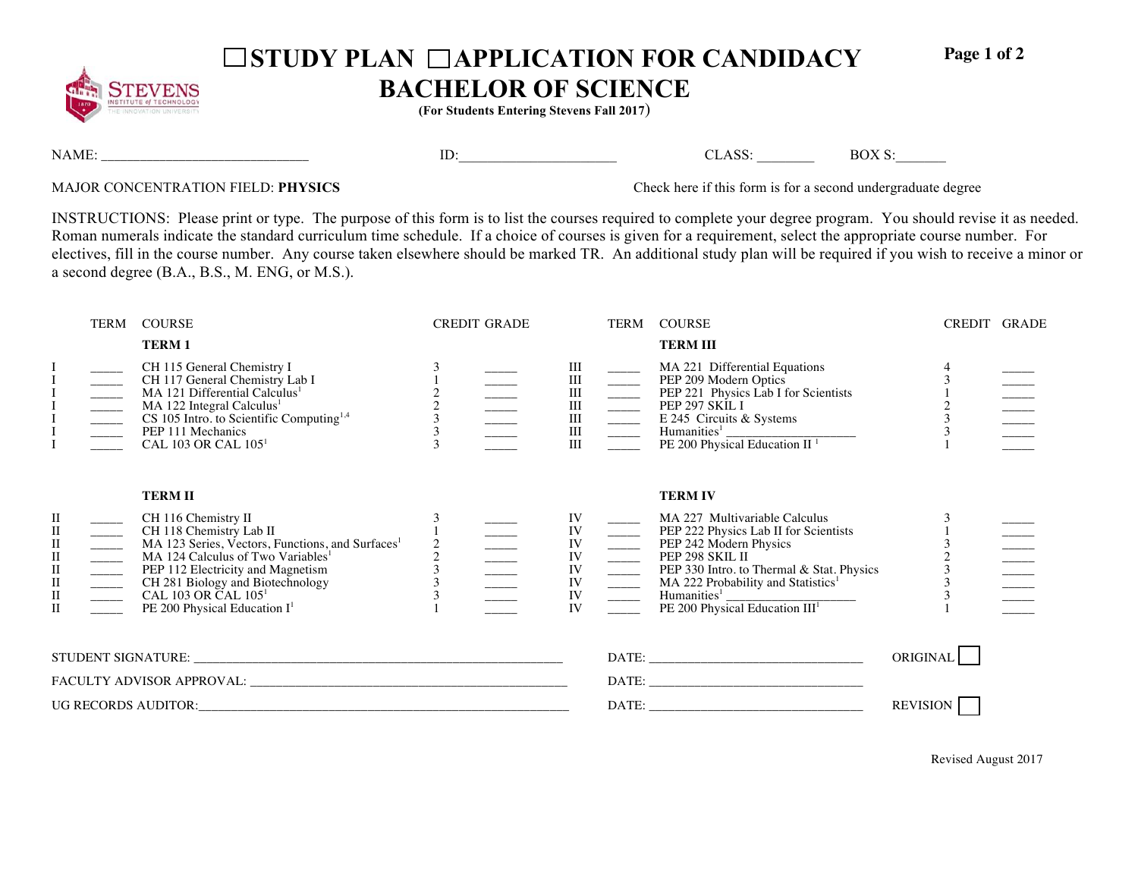

## □ STUDY PLAN □ APPLICATION FOR CANDIDACY

**Page 1 of 2** 

## **BACHELOR OF SCIENCE**

**(For Students Entering Stevens Fall 2017**)

NAME: \_\_\_\_\_\_\_\_\_\_\_\_\_\_\_\_\_\_\_\_\_\_\_\_\_\_\_\_\_\_\_\_ ID:\_\_\_\_\_\_\_\_\_\_\_\_\_\_\_\_\_\_\_\_\_\_ CLASS: \_\_\_\_\_\_\_\_ BOX S:\_\_\_\_\_\_\_

MAJOR CONCENTRATION FIELD: **PHYSICS** Check here if this form is for a second undergraduate degree

INSTRUCTIONS: Please print or type. The purpose of this form is to list the courses required to complete your degree program. You should revise it as needed. Roman numerals indicate the standard curriculum time schedule. If a choice of courses is given for a requirement, select the appropriate course number. For electives, fill in the course number. Any course taken elsewhere should be marked TR. An additional study plan will be required if you wish to receive a minor or a second degree (B.A., B.S., M. ENG, or M.S.).

|                                                                                                                                  | TERM | <b>COURSE</b>                                                                                                                                                                                                                                                                                                                                                                                                         |                    | <b>CREDIT GRADE</b> |                                                                                      |                                                                                                                                                                                                                                                                                                                                                                                                                                                                                                                                                       | TERM COURSE                                                                                                                                                                                                                                                                                                                | CREDIT GRADE  |  |
|----------------------------------------------------------------------------------------------------------------------------------|------|-----------------------------------------------------------------------------------------------------------------------------------------------------------------------------------------------------------------------------------------------------------------------------------------------------------------------------------------------------------------------------------------------------------------------|--------------------|---------------------|--------------------------------------------------------------------------------------|-------------------------------------------------------------------------------------------------------------------------------------------------------------------------------------------------------------------------------------------------------------------------------------------------------------------------------------------------------------------------------------------------------------------------------------------------------------------------------------------------------------------------------------------------------|----------------------------------------------------------------------------------------------------------------------------------------------------------------------------------------------------------------------------------------------------------------------------------------------------------------------------|---------------|--|
|                                                                                                                                  |      | <b>TERM1</b>                                                                                                                                                                                                                                                                                                                                                                                                          |                    |                     |                                                                                      |                                                                                                                                                                                                                                                                                                                                                                                                                                                                                                                                                       | <b>TERM III</b>                                                                                                                                                                                                                                                                                                            |               |  |
|                                                                                                                                  |      | CH 115 General Chemistry I<br>CH 117 General Chemistry Lab I<br>MA 121 Differential Calculus <sup>1</sup><br>MA 122 Integral Calculus <sup>1</sup><br>CS 105 Intro. to Scientific Computing <sup>1,4</sup><br>PEP 111 Mechanics<br>CAL 103 OR CAL 105 <sup>1</sup>                                                                                                                                                    | $\frac{3}{3}$      |                     | III                                                                                  | $\begin{array}{c} \begin{array}{c} \text{III} \\ \text{III} \\ \text{III} \end{array} \\ \begin{array}{c} \begin{array}{c} \text{III} \\ \text{III} \end{array} \\ \begin{array}{c} \text{III} \\ \text{III} \end{array} \\ \begin{array}{c} \end{array} \\ \begin{array}{c} \text{III} \\ \text{III} \end{array} \\ \begin{array}{c} \end{array} \\ \begin{array}{c} \end{array} \\ \begin{array}{c} \end{array} \\ \begin{array}{c} \text{III} \\ \text{III} \end{array} \\ \begin{array}{c} \end{array} \\ \begin{array}{c} \end{array} \\ \begin$ | MA 221 Differential Equations<br>PEP 209 Modern Optics<br>PEP 221 Physics Lab I for Scientists<br>PEP 297 SKIL I<br>E 245 Circuits & Systems<br>Humanities <sup>1</sup> PE 200 Physical Education II <sup>1</sup>                                                                                                          | $\frac{1}{2}$ |  |
| П<br>$\rm II$<br>$\rm II$<br>$\rm II$<br>$\begin{array}{ll} \Pi \\ \Pi \end{array}$<br>$\begin{array}{c} \Pi \\ \Pi \end{array}$ |      | <b>TERM II</b><br>CH 116 Chemistry II<br>CH 116 Chemistry II<br>CH 118 Chemistry Lab II<br>MA 123 Series, Vectors, Functions, a<br>MA 124 Calculus of Two Variables <sup>1</sup><br>PEP 112 Electricity and Magnetism<br>CH 281 Biology and Biotechnology<br>CAL 103 OR CAL 105 <sup>1</sup><br>PE 200 Ph<br>MA 123 Series, Vectors, Functions, and Surfaces <sup>1</sup><br>PE 200 Physical Education I <sup>1</sup> | $\frac{2}{3}$<br>3 |                     | IV<br>IV<br>IV<br>IV<br>$\operatorname*{IV}_{\operatorname*{IV}}$<br>IV<br><b>IV</b> |                                                                                                                                                                                                                                                                                                                                                                                                                                                                                                                                                       | <b>TERM IV</b><br>MA 227 Multivariable Calculus<br>PEP 222 Physics Lab II for Scientists<br>PEP 242 Modern Physics<br>PEP 298 SKIL II<br>PEP 330 Intro. to Thermal & Stat. P!<br>MA 222 Probability and Statistics <sup>1</sup><br>PE 200 Physical Education III <sup>1</sup><br>PEP 330 Intro. to Thermal & Stat. Physics | $\frac{3}{2}$ |  |
|                                                                                                                                  |      |                                                                                                                                                                                                                                                                                                                                                                                                                       |                    |                     |                                                                                      |                                                                                                                                                                                                                                                                                                                                                                                                                                                                                                                                                       | ORIGINAL                                                                                                                                                                                                                                                                                                                   |               |  |
|                                                                                                                                  |      |                                                                                                                                                                                                                                                                                                                                                                                                                       |                    |                     |                                                                                      |                                                                                                                                                                                                                                                                                                                                                                                                                                                                                                                                                       |                                                                                                                                                                                                                                                                                                                            |               |  |
|                                                                                                                                  |      |                                                                                                                                                                                                                                                                                                                                                                                                                       |                    |                     |                                                                                      |                                                                                                                                                                                                                                                                                                                                                                                                                                                                                                                                                       | <b>REVISION</b>                                                                                                                                                                                                                                                                                                            |               |  |

Revised August 2017